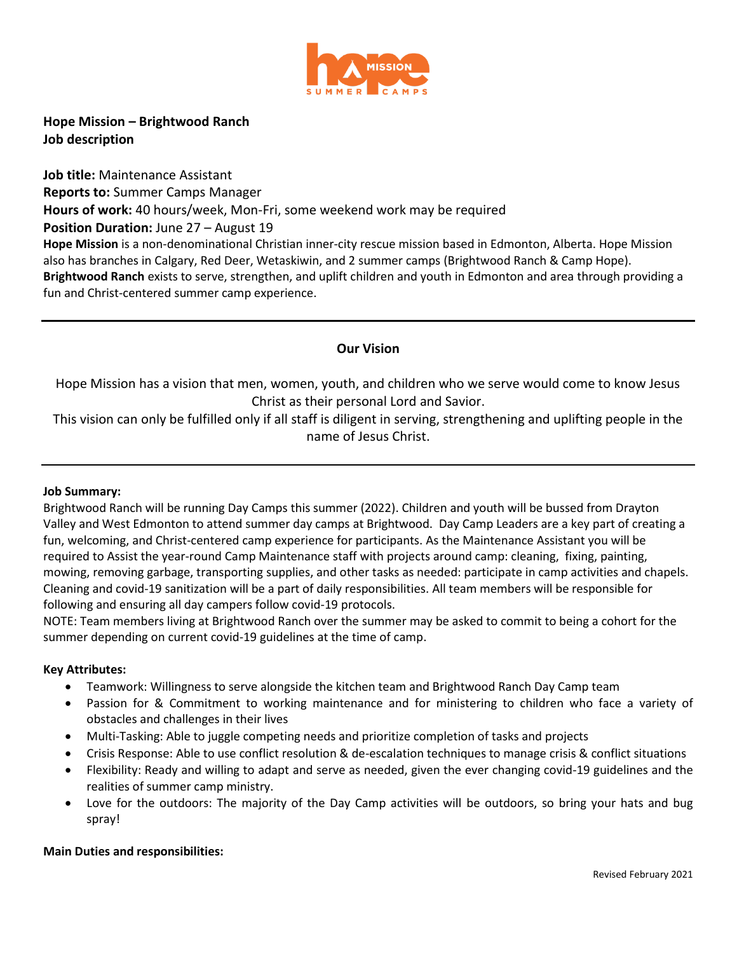

**Hope Mission – Brightwood Ranch Job description**

**Job title:** Maintenance Assistant **Reports to:** Summer Camps Manager **Hours of work:** 40 hours/week, Mon-Fri, some weekend work may be required **Position Duration: June 27 – August 19 Hope Mission** is a non-denominational Christian inner-city rescue mission based in Edmonton, Alberta. Hope Mission also has branches in Calgary, Red Deer, Wetaskiwin, and 2 summer camps (Brightwood Ranch & Camp Hope). **Brightwood Ranch** exists to serve, strengthen, and uplift children and youth in Edmonton and area through providing a fun and Christ-centered summer camp experience.

# **Our Vision**

Hope Mission has a vision that men, women, youth, and children who we serve would come to know Jesus Christ as their personal Lord and Savior.

This vision can only be fulfilled only if all staff is diligent in serving, strengthening and uplifting people in the name of Jesus Christ.

### **Job Summary:**

Brightwood Ranch will be running Day Camps this summer (2022). Children and youth will be bussed from Drayton Valley and West Edmonton to attend summer day camps at Brightwood. Day Camp Leaders are a key part of creating a fun, welcoming, and Christ-centered camp experience for participants. As the Maintenance Assistant you will be required to Assist the year-round Camp Maintenance staff with projects around camp: cleaning, fixing, painting, mowing, removing garbage, transporting supplies, and other tasks as needed: participate in camp activities and chapels. Cleaning and covid-19 sanitization will be a part of daily responsibilities. All team members will be responsible for following and ensuring all day campers follow covid-19 protocols.

NOTE: Team members living at Brightwood Ranch over the summer may be asked to commit to being a cohort for the summer depending on current covid-19 guidelines at the time of camp.

### **Key Attributes:**

- Teamwork: Willingness to serve alongside the kitchen team and Brightwood Ranch Day Camp team
- Passion for & Commitment to working maintenance and for ministering to children who face a variety of obstacles and challenges in their lives
- Multi-Tasking: Able to juggle competing needs and prioritize completion of tasks and projects
- Crisis Response: Able to use conflict resolution & de-escalation techniques to manage crisis & conflict situations
- Flexibility: Ready and willing to adapt and serve as needed, given the ever changing covid-19 guidelines and the realities of summer camp ministry.
- Love for the outdoors: The majority of the Day Camp activities will be outdoors, so bring your hats and bug spray!

# **Main Duties and responsibilities:**